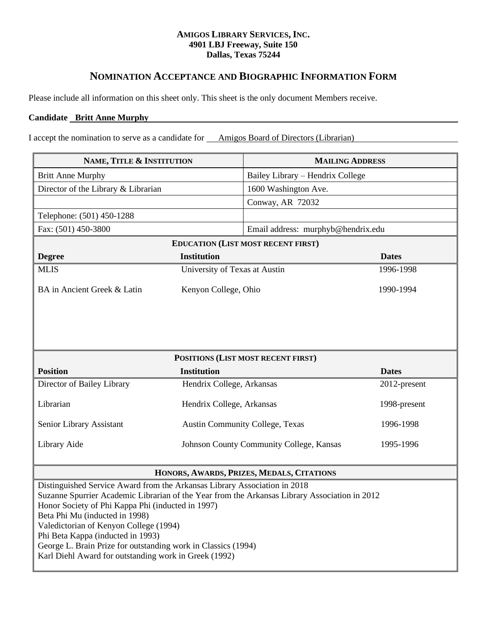# **AMIGOS LIBRARY SERVICES, INC. 4901 LBJ Freeway, Suite 150 Dallas, Texas 75244**

# **NOMINATION ACCEPTANCE AND BIOGRAPHIC INFORMATION FORM**

Please include all information on this sheet only. This sheet is the only document Members receive.

# **Candidate Britt Anne Murphy**

I accept the nomination to serve as a candidate for Amigos Board of Directors (Librarian)

| NAME, TITLE & INSTITUTION                                                                                                                                                                                                                                                                                                                                                                                                                                                  |                                          | <b>MAILING ADDRESS</b> |
|----------------------------------------------------------------------------------------------------------------------------------------------------------------------------------------------------------------------------------------------------------------------------------------------------------------------------------------------------------------------------------------------------------------------------------------------------------------------------|------------------------------------------|------------------------|
| <b>Britt Anne Murphy</b>                                                                                                                                                                                                                                                                                                                                                                                                                                                   | Bailey Library – Hendrix College         |                        |
| Director of the Library & Librarian                                                                                                                                                                                                                                                                                                                                                                                                                                        | 1600 Washington Ave.                     |                        |
|                                                                                                                                                                                                                                                                                                                                                                                                                                                                            | Conway, AR 72032                         |                        |
| Telephone: (501) 450-1288                                                                                                                                                                                                                                                                                                                                                                                                                                                  |                                          |                        |
| Fax: (501) 450-3800                                                                                                                                                                                                                                                                                                                                                                                                                                                        | Email address: murphyb@hendrix.edu       |                        |
| <b>EDUCATION (LIST MOST RECENT FIRST)</b>                                                                                                                                                                                                                                                                                                                                                                                                                                  |                                          |                        |
| <b>Degree</b>                                                                                                                                                                                                                                                                                                                                                                                                                                                              | <b>Institution</b>                       | <b>Dates</b>           |
| <b>MLIS</b>                                                                                                                                                                                                                                                                                                                                                                                                                                                                | University of Texas at Austin            | 1996-1998              |
| BA in Ancient Greek & Latin                                                                                                                                                                                                                                                                                                                                                                                                                                                | Kenyon College, Ohio                     | 1990-1994              |
|                                                                                                                                                                                                                                                                                                                                                                                                                                                                            |                                          |                        |
| POSITIONS (LIST MOST RECENT FIRST)                                                                                                                                                                                                                                                                                                                                                                                                                                         |                                          |                        |
| <b>Position</b>                                                                                                                                                                                                                                                                                                                                                                                                                                                            | <b>Institution</b>                       | <b>Dates</b>           |
| Director of Bailey Library                                                                                                                                                                                                                                                                                                                                                                                                                                                 | Hendrix College, Arkansas                | 2012-present           |
| Librarian                                                                                                                                                                                                                                                                                                                                                                                                                                                                  | Hendrix College, Arkansas                | 1998-present           |
| Senior Library Assistant                                                                                                                                                                                                                                                                                                                                                                                                                                                   | <b>Austin Community College, Texas</b>   | 1996-1998              |
| Library Aide                                                                                                                                                                                                                                                                                                                                                                                                                                                               | Johnson County Community College, Kansas | 1995-1996              |
| HONORS, AWARDS, PRIZES, MEDALS, CITATIONS                                                                                                                                                                                                                                                                                                                                                                                                                                  |                                          |                        |
| Distinguished Service Award from the Arkansas Library Association in 2018<br>Suzanne Spurrier Academic Librarian of the Year from the Arkansas Library Association in 2012<br>Honor Society of Phi Kappa Phi (inducted in 1997)<br>Beta Phi Mu (inducted in 1998)<br>Valedictorian of Kenyon College (1994)<br>Phi Beta Kappa (inducted in 1993)<br>George L. Brain Prize for outstanding work in Classics (1994)<br>Karl Diehl Award for outstanding work in Greek (1992) |                                          |                        |